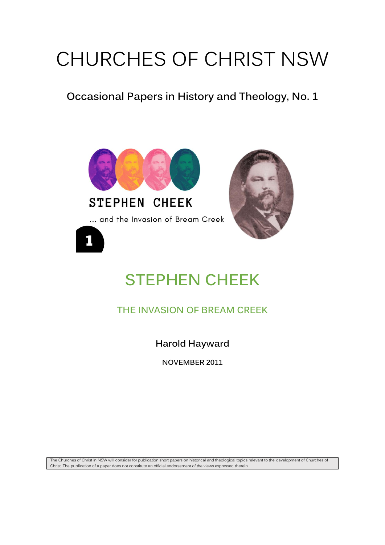# CHURCHES OF CHRIST NSW

### **Occasional Papers in History and Theology, No. 1**



## **STEPHEN CHEEK**

**THE INVASION OF BREAM CREEK**

**Harold Hayward**

**NOVEMBER 2011**

The Churches of Christ in NSW will consider for publication short papers on historical and theological topics relevant to the development of Churches of Christ. The publication of a paper does not constitute an official endorsement of the views expressed therein.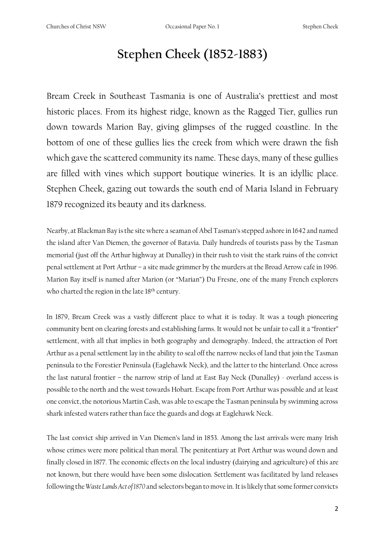## **Stephen Cheek (1852-1883)**

Bream Creek in Southeast Tasmania is one of Australia's prettiest and most historic places. From its highest ridge, known as the Ragged Tier, gullies run down towards Marion Bay, giving glimpses of the rugged coastline. In the bottom of one of these gullies lies the creek from which were drawn the fish which gave the scattered community its name. These days, many of these gullies are filled with vines which support boutique wineries. It is an idyllic place. Stephen Cheek, gazing out towards the south end of Maria Island in February 1879 recognized its beauty and its darkness.

Nearby, at Blackman Bay is the site where a seaman of Abel Tasman's stepped ashore in 1642 and named the island after Van Diemen, the governor of Batavia. Daily hundreds of tourists pass by the Tasman memorial (just off the Arthur highway at Dunalley) in their rush to visit the stark ruins of the convict penal settlement at Port Arthur – a site made grimmer by the murders at the Broad Arrow café in 1996. Marion Bay itself is named after Marion (or "Marian") Du Fresne, one of the many French explorers who charted the region in the late  $18<sup>th</sup>$  century.

In 1879, Bream Creek was a vastly different place to what it is today. It was a tough pioneering community bent on clearing forests and establishing farms. It would not be unfair to call it a "frontier" settlement, with all that implies in both geography and demography. Indeed, the attraction of Port Arthur as a penal settlement lay in the ability to seal off the narrow necks of land that join the Tasman peninsula to the Forestier Peninsula (Eaglehawk Neck), and the latter to the hinterland. Once across the last natural frontier – the narrow strip of land at East Bay Neck (Dunalley) - overland access is possible to the north and the west towards Hobart. Escape from Port Arthur was possible and at least one convict, the notorious Martin Cash, was able to escape the Tasman peninsula by swimming across shark infested waters rather than face the guards and dogs at Eaglehawk Neck.

The last convict ship arrived in Van Diemen's land in 1853. Among the last arrivals were many Irish whose crimes were more political than moral. The penitentiary at Port Arthur was wound down and finally closed in 1877. The economic effects on the local industry (dairying and agriculture) of this are not known, but there would have been some dislocation. Settlement was facilitated by land releases following the *Waste Lands Act of 1870* and selectors began to move in. It is likely that some former convicts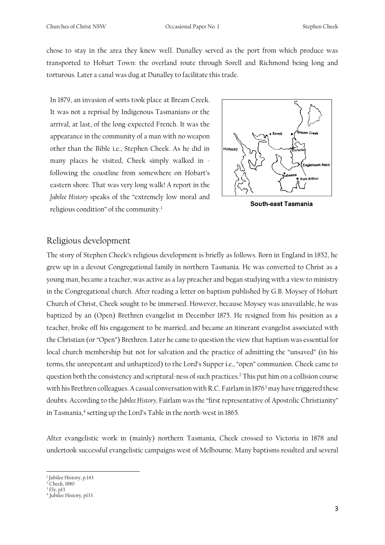chose to stay in the area they knew well. Dunalley served as the port from which produce was transported to Hobart Town: the overland route through Sorell and Richmond being long and torturous. Later a canal was dug at Dunalley to facilitate this trade.

In 1879, an invasion of sorts took place at Bream Creek. It was not a reprisal by Indigenous Tasmanians or the arrival, at last, of the long-expected French. It was the appearance in the community of a man with no weapon other than the Bible i.e., Stephen Cheek. As he did in many places he visited, Cheek simply walked in following the coastline from somewhere on Hobart's eastern shore. That was very long walk! A report in the *Jubilee History* speaks of the "extremely low moral and religious condition" of the community.<sup>1</sup>



**South-east Tasmania** 

#### Religious development

The story of Stephen Cheek's religious development is briefly as follows. Born in England in 1852, he grew up in a devout Congregational family in northern Tasmania. He was converted to Christ as a young man, became a teacher, was active as a lay preacher and began studying with a view to ministry in the Congregational church. After reading a letter on baptism published by G.B. Moysey of Hobart Church of Christ, Cheek sought to be immersed. However, because Moysey was unavailable, he was baptized by an (Open) Brethren evangelist in December 1875. He resigned from his position as a teacher, broke off his engagement to be married, and became an itinerant evangelist associated with the Christian (or "Open") Brethren. Later he came to question the view that baptism was essential for local church membership but not for salvation and the practice of admitting the "unsaved" (in his terms, the unrepentant and unbaptized) to the Lord's Supper i.e., "open" communion. Cheek came to question both the consistency and scriptural-ness of such practices.<sup>2</sup> This put him on a collision course with his Brethren colleagues. A casual conversation with R.C. Fairlam in 1876<sup>3</sup> may have triggered these doubts. According to the *Jubilee History,* Fairlam was the "first representative of Apostolic Christianity" in Tasmania,<sup>4</sup> setting up the Lord's Table in the north-west in 1865.

After evangelistic work in (mainly) northern Tasmania, Cheek crossed to Victoria in 1878 and undertook successful evangelistic campaigns west of Melbourne. Many baptisms resulted and several

<sup>1</sup> Jubilee History, p.143

 $2$  Cheek, 1880 <sup>3</sup> Ely, p13

<sup>4</sup> Jubilee History, p133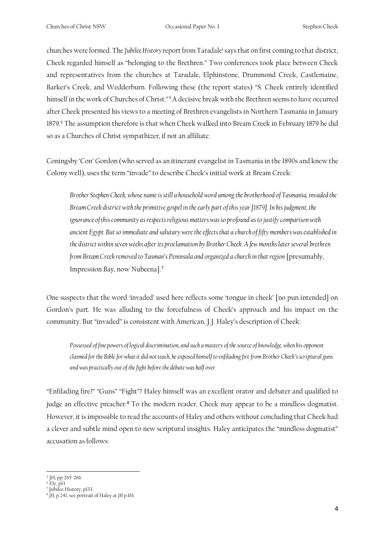churches were formed. The *Jubilee History* report from Taradale<sup>i</sup> says that on first coming to that district, Cheek regarded himself as "belonging to the Brethren." Two conferences took place between Cheek and representatives from the churches at Taradale, Elphinstone, Drummond Creek, Castlemaine, Barker's Creek, and Wedderburn. Following these (the report states) "S. Cheek entirely identified himself in the work of Churches of Christ."<sup>5</sup> A decisive break with the Brethren seems to have occurred after Cheek presented his views to a meeting of Brethren evangelists in Northern Tasmania in January 1879.<sup>6</sup> The assumption therefore is that when Cheek walked into Bream Creek in February 1879 he did so as a Churches of Christ sympathizer, if not an affiliate.

Coningsby 'Con' Gordon (who served as an itinerant evangelist in Tasmania in the 1890s and knew the Colony well), uses the term "invade" to describe Cheek's initial work at Bream Creek:

*Brother Stephen Cheek, whose name is still a household word among the brotherhood of Tasmania, invaded the Bream Creek district with the primitive gospel in the early part of this year [1879]. In his judgment, the ignorance of this community as respects religious matters was so profound as to justify comparison with ancient Egypt. But so immediate and salutary were the effects that a church of fifty members was established in the district within seven weeks after its proclamation by Brother Cheek. A few months later several brethren from Bream Creek removed to Tasman's Peninsula and organized a church in that region* [presumably, Impression Bay, now Nubeena].<sup>7</sup>

One suspects that the word 'invaded' used here reflects some 'tongue in cheek' [no pun intended] on Gordon's part. He was alluding to the forcefulness of Cheek's approach and his impact on the community. But "invaded" is consistent with American, J.J. Haley's description of Cheek:

*Possessed of fine powers of logical discrimination, and such a mastery of the source of knowledge, when his opponent claimed for the Bible for what it did not teach, he exposed himself to enfilading fire from Brother Cheek's scriptural guns and was practically out of the fight before the debate was half over.*

"Enfilading fire?" "Guns" "Fight"? Haley himself was an excellent orator and debater and qualified to judge an effective preacher.<sup>8</sup> To the modern reader, Cheek may appear to be a mindless dogmatist. However, it is impossible to read the accounts of Haley and others without concluding that Cheek had a clever and subtle mind open to new scriptural insights. Haley anticipates the "mindless dogmatist" accusation as follows:

<sup>5</sup> JH, pp 265-266.

<sup>&</sup>lt;sup>6</sup> Ely, p13<br><sup>7</sup> Jubilee History, p133

<sup>8</sup> *JH,* p.241, see portrait of Haley at *JH* p.161.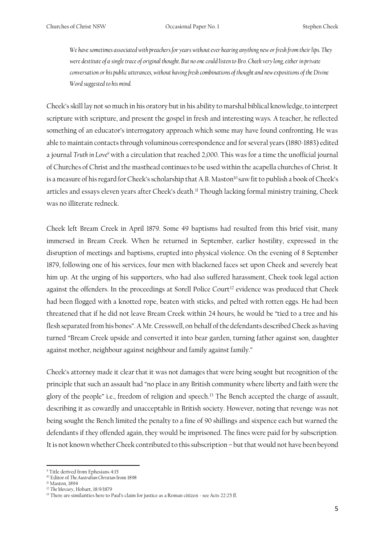*We have sometimes associated with preachers for years without ever hearing anything new or fresh from their lips. They were destitute of a single trace of original thought. But no one could listen to Bro. Cheek very long, either in private conversation or his public utterances, without having fresh combinations of thought and new expositions of the Divine Word suggested to his mind.*

Cheek's skill lay not so much in his oratory but in his ability to marshal biblical knowledge, to interpret scripture with scripture, and present the gospel in fresh and interesting ways. A teacher, he reflected something of an educator's interrogatory approach which some may have found confronting. He was able to maintain contacts through voluminous correspondence and for several years (1880-1883) edited a journal *Truth in Love<sup>9</sup>* with a circulation that reached 2,000. This was for a time the unofficial journal of Churches of Christ and the masthead continues to be used within the acapella churches of Christ. It is a measure of his regard for Cheek's scholarship that A.B. Maston<sup>10</sup> saw fit to publish a book of Cheek's articles and essays eleven years after Cheek's death.<sup>11</sup> Though lacking formal ministry training, Cheek was no illiterate redneck.

Cheek left Bream Creek in April 1879. Some 49 baptisms had resulted from this brief visit, many immersed in Bream Creek. When he returned in September, earlier hostility, expressed in the disruption of meetings and baptisms, erupted into physical violence. On the evening of 8 September 1879, following one of his services, four men with blackened faces set upon Cheek and severely beat him up. At the urging of his supporters, who had also suffered harassment, Cheek took legal action against the offenders. In the proceedings at Sorell Police Court<sup>12</sup> evidence was produced that Cheek had been flogged with a knotted rope, beaten with sticks, and pelted with rotten eggs. He had been threatened that if he did not leave Bream Creek within 24 hours, he would be "tied to a tree and his flesh separated from his bones". A Mr. Cresswell, on behalf of the defendants described Cheek as having turned "Bream Creek upside and converted it into bear garden, turning father against son, daughter against mother, neighbour against neighbour and family against family."

Cheek's attorney made it clear that it was not damages that were being sought but recognition of the principle that such an assault had "no place in any British community where liberty and faith were the glory of the people" i.e., freedom of religion and speech.<sup>13</sup> The Bench accepted the charge of assault, describing it as cowardly and unacceptable in British society. However, noting that revenge was not being sought the Bench limited the penalty to a fine of 90 shillings and sixpence each but warned the defendants if they offended again, they would be imprisoned. The fines were paid for by subscription. It is not known whether Cheek contributed to this subscription – but that would not have been beyond

<sup>9</sup> Title derived from Ephesians 4:15

<sup>10</sup> Editor of *The Australian Christian* from 1898

<sup>&</sup>lt;sup>11</sup> Maston, 1894

<sup>12</sup> *The Mercury*, Hobart, 18/9/1879

<sup>&</sup>lt;sup>13</sup> There are similarities here to Paul's claim for justice as a Roman citizen - see Acts 22:25 ff.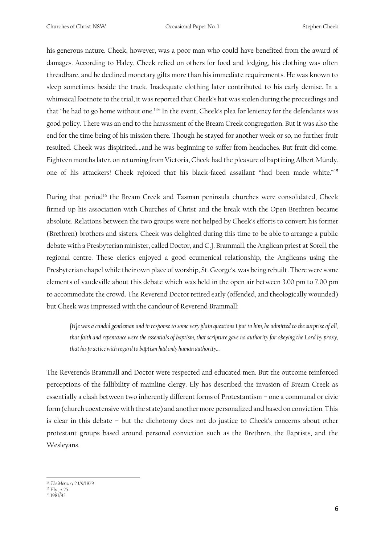his generous nature. Cheek, however, was a poor man who could have benefited from the award of damages. According to Haley, Cheek relied on others for food and lodging, his clothing was often threadbare, and he declined monetary gifts more than his immediate requirements. He was known to sleep sometimes beside the track. Inadequate clothing later contributed to his early demise. In a whimsical footnote to the trial, it was reported that Cheek's hat was stolen during the proceedings and that "he had to go home without one.<sup>14</sup>" In the event, Cheek's plea for leniency for the defendants was good policy. There was an end to the harassment of the Bream Creek congregation. But it was also the end for the time being of his mission there. Though he stayed for another week or so, no further fruit resulted. Cheek was dispirited….and he was beginning to suffer from headaches. But fruit did come. Eighteen months later, on returning from Victoria, Cheek had the pleasure of baptizing Albert Mundy, one of his attackers! Cheek rejoiced that his black-faced assailant "had been made white."<sup>15</sup>

During that period<sup>16</sup> the Bream Creek and Tasman peninsula churches were consolidated, Cheek firmed up his association with Churches of Christ and the break with the Open Brethren became absolute. Relations between the two groups were not helped by Cheek's efforts to convert his former (Brethren) brothers and sisters. Cheek was delighted during this time to be able to arrange a public debate with a Presbyterian minister, called Doctor, and C.J. Brammall, the Anglican priest at Sorell, the regional centre. These clerics enjoyed a good ecumenical relationship, the Anglicans using the Presbyterian chapel while their own place of worship, St. George's, was being rebuilt. There were some elements of vaudeville about this debate which was held in the open air between 3.00 pm to 7.00 pm to accommodate the crowd. The Reverend Doctor retired early (offended, and theologically wounded) but Cheek was impressed with the candour of Reverend Brammall:

*[H]e was a candid gentleman and in response to some very plain questions I put to him, he admitted to the surprise of all, that faith and repentance were the essentials of baptism, that scripture gave no authority for obeying the Lord by proxy, that his practice with regard to baptism had only human authority…*

The Reverends Brammall and Doctor were respected and educated men. But the outcome reinforced perceptions of the fallibility of mainline clergy. Ely has described the invasion of Bream Creek as essentially a clash between two inherently different forms of Protestantism – one a communal or civic form (church coextensive with the state) and another more personalized and based on conviction. This is clear in this debate – but the dichotomy does not do justice to Cheek's concerns about other protestant groups based around personal conviction such as the Brethren, the Baptists, and the Wesleyans.

<sup>14</sup> *The Mercury* 23/9/1879

<sup>&</sup>lt;sup>15</sup> Ely, p.25

<sup>16</sup> 1981/82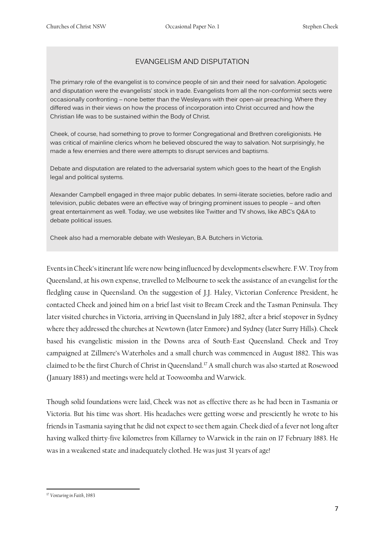#### EVANGELISM AND DISPUTATION

The primary role of the evangelist is to convince people of sin and their need for salvation. Apologetic and disputation were the evangelists' stock in trade. Evangelists from all the non-conformist sects were occasionally confronting – none better than the Wesleyans with their open-air preaching. Where they differed was in their views on how the process of incorporation into Christ occurred and how the Christian life was to be sustained within the Body of Christ.

Cheek, of course, had something to prove to former Congregational and Brethren coreligionists. He was critical of mainline clerics whom he believed obscured the way to salvation. Not surprisingly, he made a few enemies and there were attempts to disrupt services and baptisms.

Debate and disputation are related to the adversarial system which goes to the heart of the English legal and political systems.

Alexander Campbell engaged in three major public debates. In semi-literate societies, before radio and television, public debates were an effective way of bringing prominent issues to people – and often great entertainment as well. Today, we use websites like Twitter and TV shows, like ABC's Q&A to debate political issues.

Cheek also had a memorable debate with Wesleyan, B.A. Butchers in Victoria.

Events in Cheek's itinerant life were now being influenced by developments elsewhere. F.W. Troy from Queensland, at his own expense, travelled to Melbourne to seek the assistance of an evangelist for the fledgling cause in Queensland. On the suggestion of J.J. Haley, Victorian Conference President, he contacted Cheek and joined him on a brief last visit to Bream Creek and the Tasman Peninsula. They later visited churches in Victoria, arriving in Queensland in July 1882, after a brief stopover in Sydney where they addressed the churches at Newtown (later Enmore) and Sydney (later Surry Hills). Cheek based his evangelistic mission in the Downs area of South-East Queensland. Cheek and Troy campaigned at Zillmere's Waterholes and a small church was commenced in August 1882. This was claimed to be the first Church of Christ in Queensland.<sup>17</sup> A small church was also started at Rosewood (January 1883) and meetings were held at Toowoomba and Warwick.

Though solid foundations were laid, Cheek was not as effective there as he had been in Tasmania or Victoria. But his time was short. His headaches were getting worse and presciently he wrote to his friends in Tasmania saying that he did not expect to see them again. Cheek died of a fever not long after having walked thirty-five kilometres from Killarney to Warwick in the rain on 17 February 1883. He was in a weakened state and inadequately clothed. He was just 31 years of age!

<sup>17</sup> *Venturing in Faith*, 1983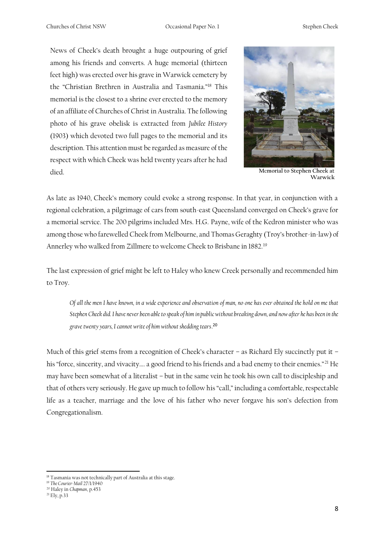News of Cheek's death brought a huge outpouring of grief among his friends and converts. A huge memorial (thirteen feet high) was erected over his grave in Warwick cemetery by the "Christian Brethren in Australia and Tasmania."<sup>18</sup> This memorial is the closest to a shrine ever erected to the memory of an affiliate of Churches of Christ in Australia. The following photo of his grave obelisk is extracted from *Jubilee History*  (1903) which devoted two full pages to the memorial and its description. This attention must be regarded as measure of the respect with which Cheek was held twenty years after he had died. **M**e**morial to Stephen Cheek at** 



**Warwick**

As late as 1940, Cheek's memory could evoke a strong response. In that year, in conjunction with a regional celebration, a pilgrimage of cars from south-east Queensland converged on Cheek's grave for a memorial service. The 200 pilgrims included Mrs. H.G. Payne, wife of the Kedron minister who was among those who farewelled Cheek from Melbourne, and Thomas Geraghty (Troy's brother-in-law) of Annerley who walked from Zillmere to welcome Cheek to Brisbane in 1882.<sup>19</sup>

The last expression of grief might be left to Haley who knew Creek personally and recommended him to Troy.

*Of all the men I have known, in a wide experience and observation of man, no one has ever obtained the hold on me that Stephen Cheek did. I have never been able to speak of him in public without breaking down, and now after he has been in the grave twenty years, I cannot write of him without shedding tears*. 20

Much of this grief stems from a recognition of Cheek's character – as Richard Ely succinctly put it – his "force, sincerity, and vivacity.... a good friend to his friends and a bad enemy to their enemies."<sup>21</sup> He may have been somewhat of a literalist – but in the same vein he took his own call to discipleship and that of others very seriously. He gave up much to follow his "call," including a comfortable, respectable life as a teacher, marriage and the love of his father who never forgave his son's defection from Congregationalism.

<sup>&</sup>lt;sup>18</sup> Tasmania was not technically part of Australia at this stage.

<sup>19</sup> *The Courier-Mail* 27/1/1940

<sup>20</sup> Haley in *Chapman*, p.453

<sup>21</sup> Ely, p.33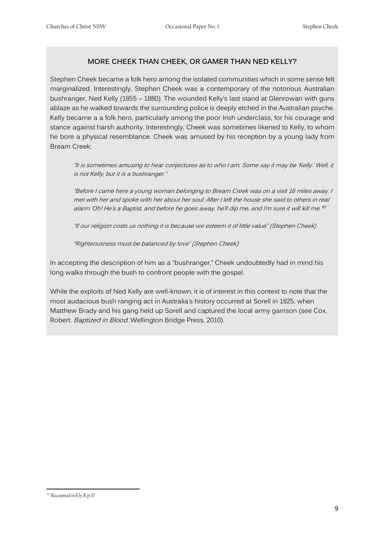#### **MORE CHEEK THAN CHEEK, OR GAMER THAN NED KELLY?**

Stephen Cheek became a folk hero among the isolated communities which in some sense felt marginalized. Interestingly, Stephen Cheek was a contemporary of the notorious Australian bushranger, Ned Kelly (1855 – 1880). The wounded Kelly's last stand at Glenrowan with guns ablaze as he walked towards the surrounding police is deeply etched in the Australian psyche. Kelly became a a folk hero, particularly among the poor Irish underclass, for his courage and stance against harsh authority. Interestingly, Cheek was sometimes likened to Kelly, to whom he bore a physical resemblance. Cheek was amused by his reception by a young lady from Bream Creek:

"It is sometimes amusing to hear conjectures as to who I am. Some say it may be 'Kelly.' Well, it is not Kelly, but it is a bushranger."

"Before I came here a young woman belonging to Bream Creek was on a visit 16 miles away. I met with her and spoke with her about her soul. After I left the house she said to others in real alarm 'Oh! He's a Baptist, and before he goes away, he'll dip me, and I'm sure it will kill me."<sup>22</sup>

"If our religion costs us nothing it is because we esteem it of little value" (Stephen Cheek)

"Righteousness must be balanced by love" (Stephen Cheek)

In accepting the description of him as a "bushranger," Cheek undoubtedly had in mind his long walks through the bush to confront people with the gospel.

While the exploits of Ned Kelly are well-known, it is of interest in this context to note that the most audacious bush ranging act in Australia's history occurred at Sorell in 1825, when Matthew Brady and his gang held up Sorell and captured the local army garrison (see Cox, Robert. Baptized in Blood. Wellington Bridge Press, 2010).

<sup>22</sup> R*ecounted in Ely, R* p.17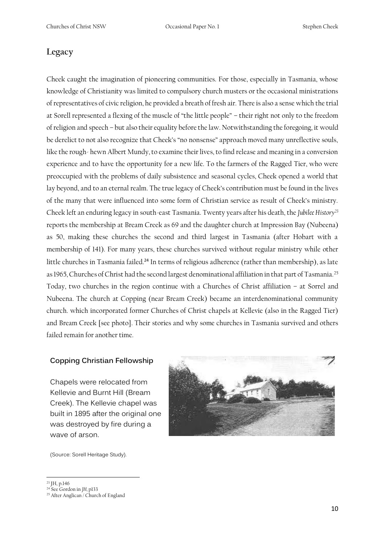#### **Legacy**

Cheek caught the imagination of pioneering communities. For those, especially in Tasmania, whose knowledge of Christianity was limited to compulsory church musters or the occasional ministrations of representatives of civic religion, he provided a breath of fresh air. There is also a sense which the trial at Sorell represented a flexing of the muscle of "the little people" – their right not only to the freedom of religion and speech – but also their equality before the law. Notwithstanding the foregoing, it would be derelict to not also recognize that Cheek's "no nonsense" approach moved many unreflective souls, like the rough- hewn Albert Mundy, to examine their lives, to find release and meaning in a conversion experience and to have the opportunity for a new life. To the farmers of the Ragged Tier, who were preoccupied with the problems of daily subsistence and seasonal cycles, Cheek opened a world that lay beyond, and to an eternal realm. The true legacy of Cheek's contribution must be found in the lives of the many that were influenced into some form of Christian service as result of Cheek's ministry. Cheek left an enduring legacy in south-east Tasmania. Twenty years after his death, the *Jubilee History<sup>23</sup>* reports the membership at Bream Creek as 69 and the daughter church at Impression Bay (Nubeena) as 50, making these churches the second and third largest in Tasmania (after Hobart with a membership of 141). For many years, these churches survived without regular ministry while other little churches in Tasmania failed.<sup>24</sup> In terms of religious adherence (rather than membership), as late as 1965, Churches of Christ had the second largest denominational affiliation in that part of Tasmania.<sup>25</sup> Today, two churches in the region continue with a Churches of Christ affiliation – at Sorrel and Nubeena. The church at Copping (near Bream Creek) became an interdenominational community church. which incorporated former Churches of Christ chapels at Kellevie (also in the Ragged Tier) and Bream Creek [see photo]. Their stories and why some churches in Tasmania survived and others failed remain for another time.

#### **Copping Christian Fellowship**

Chapels were relocated from Kellevie and Burnt Hill (Bream Creek). The Kellevie chapel was built in 1895 after the original one was destroyed by fire during a wave of arson.



(Source: Sorell Heritage Study).

<sup>23</sup> JH, p.146

<sup>24</sup> See Gordon in *JH,* p133

<sup>&</sup>lt;sup>25</sup> After Anglican / Church of England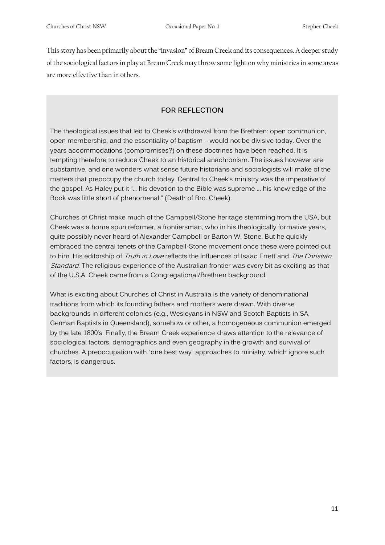This story has been primarily about the "invasion" of Bream Creek and its consequences. A deeper study of the sociological factors in play at Bream Creek may throw some light on why ministries in some areas are more effective than in others.

#### **FOR REFLECTION**

The theological issues that led to Cheek's withdrawal from the Brethren: open communion, open membership, and the essentiality of baptism – would not be divisive today. Over the years accommodations (compromises?) on these doctrines have been reached. It is tempting therefore to reduce Cheek to an historical anachronism. The issues however are substantive, and one wonders what sense future historians and sociologists will make of the matters that preoccupy the church today. Central to Cheek's ministry was the imperative of the gospel. As Haley put it "... his devotion to the Bible was supreme ... his knowledge of the Book was little short of phenomenal." (Death of Bro. Cheek).

Churches of Christ make much of the Campbell/Stone heritage stemming from the USA, but Cheek was a home spun reformer, a frontiersman, who in his theologically formative years, quite possibly never heard of Alexander Campbell or Barton W. Stone. But he quickly embraced the central tenets of the Campbell-Stone movement once these were pointed out to him. His editorship of Truth in Love reflects the influences of Isaac Errett and The Christian Standard. The religious experience of the Australian frontier was every bit as exciting as that of the U.S.A. Cheek came from a Congregational/Brethren background.

What is exciting about Churches of Christ in Australia is the variety of denominational traditions from which its founding fathers and mothers were drawn. With diverse backgrounds in different colonies (e.g., Wesleyans in NSW and Scotch Baptists in SA, German Baptists in Queensland), somehow or other, a homogeneous communion emerged by the late 1800's. Finally, the Bream Creek experience draws attention to the relevance of sociological factors, demographics and even geography in the growth and survival of churches. A preoccupation with "one best way" approaches to ministry, which ignore such factors, is dangerous.